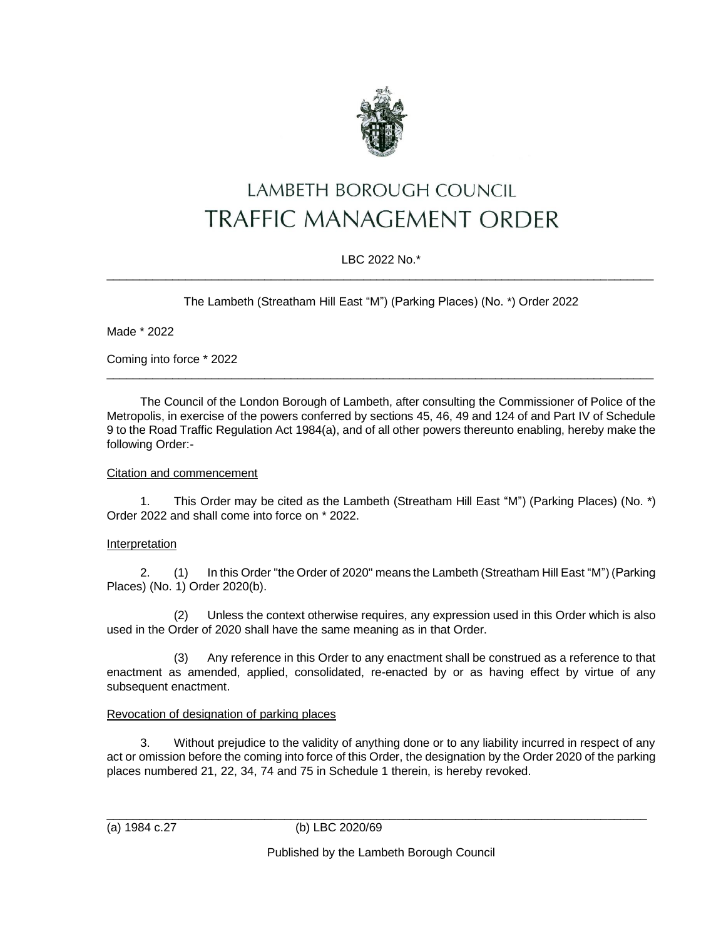

# LAMBETH BOROUGH COUNCIL **TRAFFIC MANAGEMENT ORDER**

## LBC 2022 No.\*  $\_$  ,  $\_$  ,  $\_$  ,  $\_$  ,  $\_$  ,  $\_$  ,  $\_$  ,  $\_$  ,  $\_$  ,  $\_$  ,  $\_$  ,  $\_$  ,  $\_$  ,  $\_$  ,  $\_$  ,  $\_$  ,  $\_$  ,  $\_$  ,  $\_$  ,  $\_$  ,  $\_$  ,  $\_$  ,  $\_$  ,  $\_$  ,  $\_$  ,  $\_$  ,  $\_$  ,  $\_$  ,  $\_$  ,  $\_$  ,  $\_$  ,  $\_$  ,  $\_$  ,  $\_$  ,  $\_$  ,  $\_$  ,  $\_$  ,

The Lambeth (Streatham Hill East "M") (Parking Places) (No. \*) Order 2022

Made \* 2022

Coming into force \* 2022

The Council of the London Borough of Lambeth, after consulting the Commissioner of Police of the Metropolis, in exercise of the powers conferred by sections 45, 46, 49 and 124 of and Part IV of Schedule 9 to the Road Traffic Regulation Act 1984(a), and of all other powers thereunto enabling, hereby make the following Order:-

\_\_\_\_\_\_\_\_\_\_\_\_\_\_\_\_\_\_\_\_\_\_\_\_\_\_\_\_\_\_\_\_\_\_\_\_\_\_\_\_\_\_\_\_\_\_\_\_\_\_\_\_\_\_\_\_\_\_\_\_\_\_\_\_\_\_\_\_\_\_\_\_\_\_\_\_\_\_\_\_\_\_\_

#### Citation and commencement

1. This Order may be cited as the Lambeth (Streatham Hill East "M") (Parking Places) (No. \*) Order 2022 and shall come into force on \* 2022.

# Interpretation

2. (1) In this Order "the Order of 2020" means the Lambeth (Streatham Hill East "M") (Parking Places) (No. 1) Order 2020(b).

(2) Unless the context otherwise requires, any expression used in this Order which is also used in the Order of 2020 shall have the same meaning as in that Order.

(3) Any reference in this Order to any enactment shall be construed as a reference to that enactment as amended, applied, consolidated, re-enacted by or as having effect by virtue of any subsequent enactment.

# Revocation of designation of parking places

3. Without prejudice to the validity of anything done or to any liability incurred in respect of any act or omission before the coming into force of this Order, the designation by the Order 2020 of the parking places numbered 21, 22, 34, 74 and 75 in Schedule 1 therein, is hereby revoked.

\_\_\_\_\_\_\_\_\_\_\_\_\_\_\_\_\_\_\_\_\_\_\_\_\_\_\_\_\_\_\_\_\_\_\_\_\_\_\_\_\_\_\_\_\_\_\_\_\_\_\_\_\_\_\_\_\_\_\_\_\_\_\_\_\_\_\_\_\_\_\_\_\_\_\_\_\_\_\_\_\_\_ (a) 1984 c.27 (b) LBC 2020/69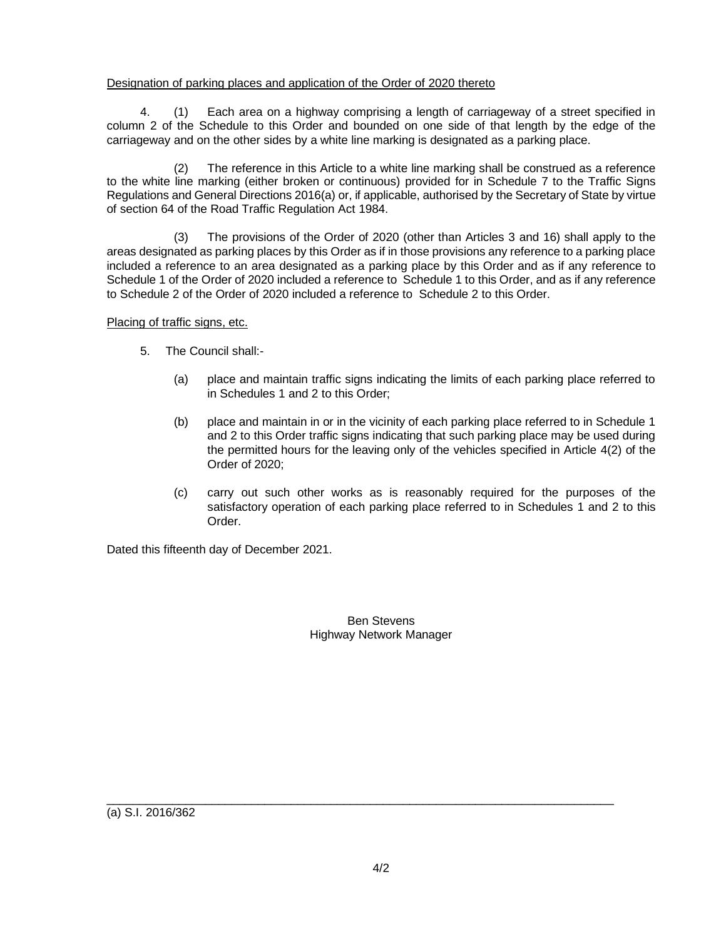### Designation of parking places and application of the Order of 2020 thereto

4. (1) Each area on a highway comprising a length of carriageway of a street specified in column 2 of the Schedule to this Order and bounded on one side of that length by the edge of the carriageway and on the other sides by a white line marking is designated as a parking place.

The reference in this Article to a white line marking shall be construed as a reference to the white line marking (either broken or continuous) provided for in Schedule 7 to the Traffic Signs Regulations and General Directions 2016(a) or, if applicable, authorised by the Secretary of State by virtue of section 64 of the Road Traffic Regulation Act 1984.

(3) The provisions of the Order of 2020 (other than Articles 3 and 16) shall apply to the areas designated as parking places by this Order as if in those provisions any reference to a parking place included a reference to an area designated as a parking place by this Order and as if any reference to Schedule 1 of the Order of 2020 included a reference to Schedule 1 to this Order, and as if any reference to Schedule 2 of the Order of 2020 included a reference to Schedule 2 to this Order.

Placing of traffic signs, etc.

- 5. The Council shall:-
	- (a) place and maintain traffic signs indicating the limits of each parking place referred to in Schedules 1 and 2 to this Order;
	- (b) place and maintain in or in the vicinity of each parking place referred to in Schedule 1 and 2 to this Order traffic signs indicating that such parking place may be used during the permitted hours for the leaving only of the vehicles specified in Article 4(2) of the Order of 2020;
	- (c) carry out such other works as is reasonably required for the purposes of the satisfactory operation of each parking place referred to in Schedules 1 and 2 to this Order.

Dated this fifteenth day of December 2021.

Ben Stevens Highway Network Manager

(a) S.I. 2016/362

 $\_$  ,  $\_$  ,  $\_$  ,  $\_$  ,  $\_$  ,  $\_$  ,  $\_$  ,  $\_$  ,  $\_$  ,  $\_$  ,  $\_$  ,  $\_$  ,  $\_$  ,  $\_$  ,  $\_$  ,  $\_$  ,  $\_$  ,  $\_$  ,  $\_$  ,  $\_$  ,  $\_$  ,  $\_$  ,  $\_$  ,  $\_$  ,  $\_$  ,  $\_$  ,  $\_$  ,  $\_$  ,  $\_$  ,  $\_$  ,  $\_$  ,  $\_$  ,  $\_$  ,  $\_$  ,  $\_$  ,  $\_$  ,  $\_$  ,